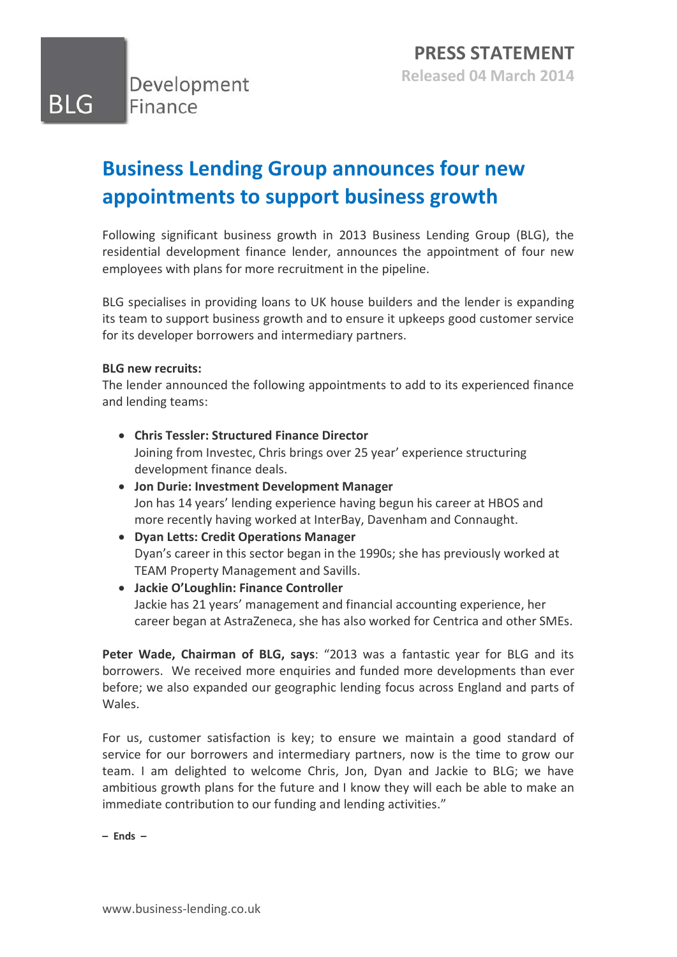BLG

# **Business Lending Group announces four new appointments to support business growth**

Following significant business growth in 2013 Business Lending Group (BLG), the residential development finance lender, announces the appointment of four new employees with plans for more recruitment in the pipeline.

BLG specialises in providing loans to UK house builders and the lender is expanding its team to support business growth and to ensure it upkeeps good customer service for its developer borrowers and intermediary partners.

## **BLG new recruits:**

The lender announced the following appointments to add to its experienced finance and lending teams:

- **Chris Tessler: Structured Finance Director** Joining from Investec, Chris brings over 25 year' experience structuring development finance deals.
- **Jon Durie: Investment Development Manager** Jon has 14 years' lending experience having begun his career at HBOS and more recently having worked at InterBay, Davenham and Connaught.
- **Dyan Letts: Credit Operations Manager** Dyan's career in this sector began in the 1990s; she has previously worked at TEAM Property Management and Savills.
- **Jackie O'Loughlin: Finance Controller** Jackie has 21 years' management and financial accounting experience, her career began at AstraZeneca, she has also worked for Centrica and other SMEs.

**Peter Wade, Chairman of BLG, says**: "2013 was a fantastic year for BLG and its borrowers. We received more enquiries and funded more developments than ever before; we also expanded our geographic lending focus across England and parts of Wales.

For us, customer satisfaction is key; to ensure we maintain a good standard of service for our borrowers and intermediary partners, now is the time to grow our team. I am delighted to welcome Chris, Jon, Dyan and Jackie to BLG; we have ambitious growth plans for the future and I know they will each be able to make an immediate contribution to our funding and lending activities."

**– Ends –**